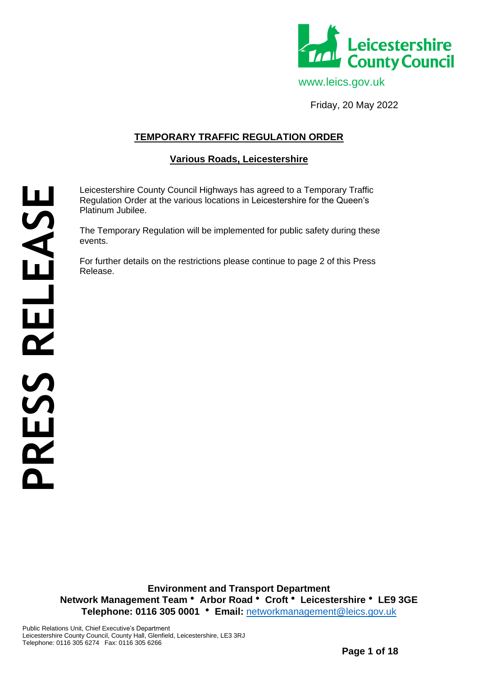

Friday, 20 May 2022

# **TEMPORARY TRAFFIC REGULATION ORDER**

## **Various Roads, Leicestershire**

Leicestershire County Council Highways has agreed to a Temporary Traffic Regulation Order at the various locations in Leicestershire for the Queen's Platinum Jubilee.

The Temporary Regulation will be implemented for public safety during these events.

For further details on the restrictions please continue to page 2 of this Press Release.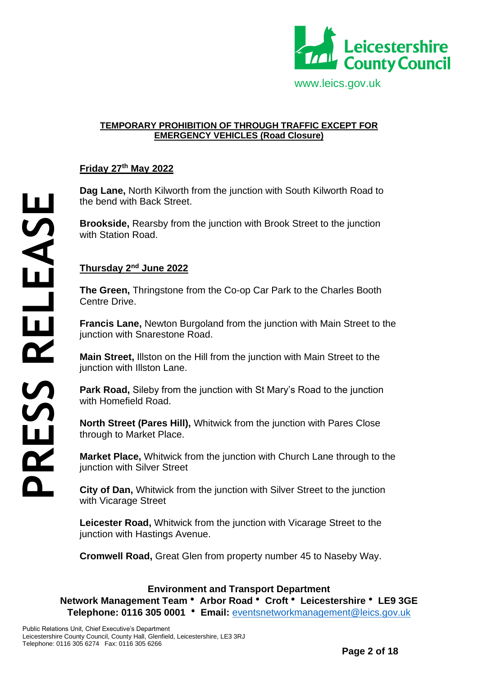

#### **TEMPORARY PROHIBITION OF THROUGH TRAFFIC EXCEPT FOR EMERGENCY VEHICLES (Road Closure)**

## **Friday 27th May 2022**

**Dag Lane,** North Kilworth from the junction with South Kilworth Road to the bend with Back Street.

**Brookside,** Rearsby from the junction with Brook Street to the junction with Station Road.

### **Thursday 2nd June 2022**

**The Green,** Thringstone from the Co-op Car Park to the Charles Booth Centre Drive.

**Francis Lane,** Newton Burgoland from the junction with Main Street to the junction with Snarestone Road.

**Main Street,** Illston on the Hill from the junction with Main Street to the junction with Illston Lane.

**Park Road,** Sileby from the junction with St Mary's Road to the junction with Homefield Road.

**North Street (Pares Hill),** Whitwick from the junction with Pares Close through to Market Place.

**Market Place,** Whitwick from the junction with Church Lane through to the junction with Silver Street

**City of Dan,** Whitwick from the junction with Silver Street to the junction with Vicarage Street

**Leicester Road,** Whitwick from the junction with Vicarage Street to the junction with Hastings Avenue.

**Cromwell Road,** Great Glen from property number 45 to Naseby Way.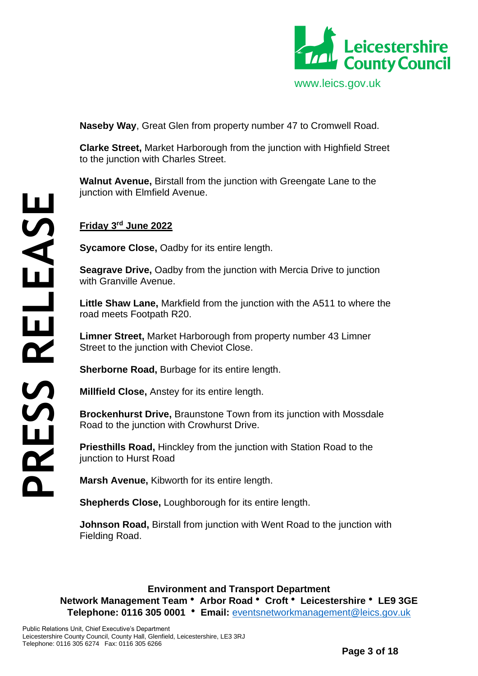

**Naseby Way**, Great Glen from property number 47 to Cromwell Road.

**Clarke Street,** Market Harborough from the junction with Highfield Street to the junction with Charles Street.

**Walnut Avenue,** Birstall from the junction with Greengate Lane to the junction with Elmfield Avenue.

## **Friday 3rd June 2022**

**Sycamore Close,** Oadby for its entire length.

**Seagrave Drive,** Oadby from the junction with Mercia Drive to junction with Granville Avenue.

**Little Shaw Lane,** Markfield from the junction with the A511 to where the road meets Footpath R20.

**Limner Street,** Market Harborough from property number 43 Limner Street to the junction with Cheviot Close.

**Sherborne Road,** Burbage for its entire length.

**Millfield Close,** Anstey for its entire length.

**Brockenhurst Drive,** Braunstone Town from its junction with Mossdale Road to the junction with Crowhurst Drive.

**Priesthills Road,** Hinckley from the junction with Station Road to the junction to Hurst Road

**Marsh Avenue,** Kibworth for its entire length.

**Shepherds Close,** Loughborough for its entire length.

**Johnson Road,** Birstall from junction with Went Road to the junction with Fielding Road.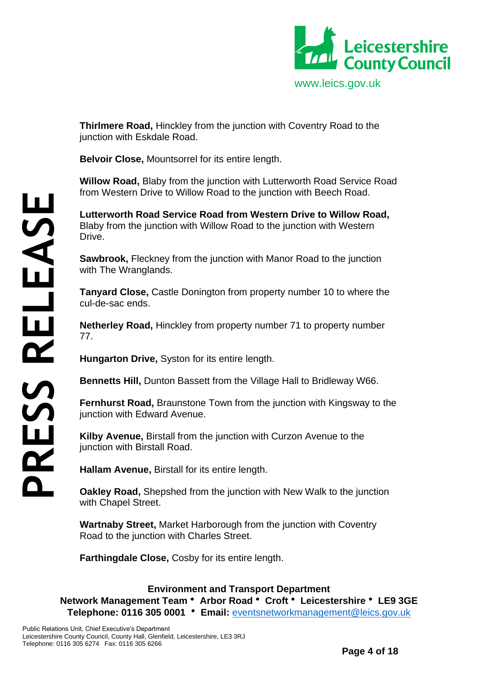

**Thirlmere Road,** Hinckley from the junction with Coventry Road to the junction with Eskdale Road.

**Belvoir Close,** Mountsorrel for its entire length.

**Willow Road,** Blaby from the junction with Lutterworth Road Service Road from Western Drive to Willow Road to the junction with Beech Road.

**Lutterworth Road Service Road from Western Drive to Willow Road,** Blaby from the junction with Willow Road to the junction with Western Drive.

**Sawbrook,** Fleckney from the junction with Manor Road to the junction with The Wranglands.

**Tanyard Close,** Castle Donington from property number 10 to where the cul-de-sac ends.

**Netherley Road,** Hinckley from property number 71 to property number 77.

**Hungarton Drive,** Syston for its entire length.

**Bennetts Hill,** Dunton Bassett from the Village Hall to Bridleway W66.

**Fernhurst Road,** Braunstone Town from the junction with Kingsway to the junction with Edward Avenue.

**Kilby Avenue,** Birstall from the junction with Curzon Avenue to the junction with Birstall Road.

**Hallam Avenue,** Birstall for its entire length.

**Oakley Road,** Shepshed from the junction with New Walk to the junction with Chapel Street.

**Wartnaby Street,** Market Harborough from the junction with Coventry Road to the junction with Charles Street.

**Farthingdale Close,** Cosby for its entire length.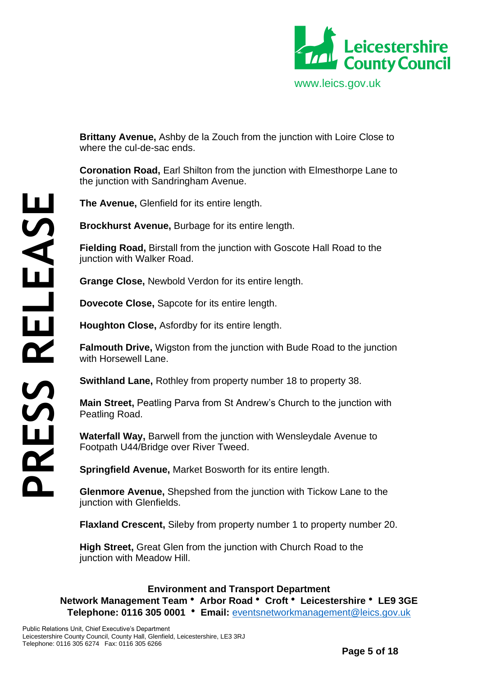

**Brittany Avenue,** Ashby de la Zouch from the junction with Loire Close to where the cul-de-sac ends.

**Coronation Road,** Earl Shilton from the junction with Elmesthorpe Lane to the junction with Sandringham Avenue.

**The Avenue,** Glenfield for its entire length.

**Brockhurst Avenue,** Burbage for its entire length.

**Fielding Road,** Birstall from the junction with Goscote Hall Road to the junction with Walker Road.

**Grange Close,** Newbold Verdon for its entire length.

**Dovecote Close,** Sapcote for its entire length.

**Houghton Close,** Asfordby for its entire length.

**Falmouth Drive,** Wigston from the junction with Bude Road to the junction with Horsewell Lane

**Swithland Lane,** Rothley from property number 18 to property 38.

**Main Street,** Peatling Parva from St Andrew's Church to the junction with Peatling Road.

**Waterfall Way,** Barwell from the junction with Wensleydale Avenue to Footpath U44/Bridge over River Tweed.

**Springfield Avenue,** Market Bosworth for its entire length.

**Glenmore Avenue,** Shepshed from the junction with Tickow Lane to the junction with Glenfields.

**Flaxland Crescent,** Sileby from property number 1 to property number 20.

**High Street,** Great Glen from the junction with Church Road to the junction with Meadow Hill.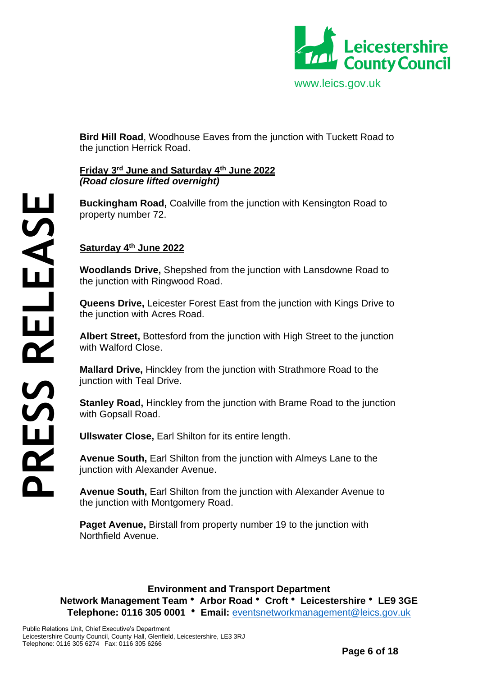

**Bird Hill Road**, Woodhouse Eaves from the junction with Tuckett Road to the junction Herrick Road.

### **Friday 3rd June and Saturday 4th June 2022** *(Road closure lifted overnight)*

**Buckingham Road,** Coalville from the junction with Kensington Road to property number 72.

## **Saturday 4th June 2022**

**Woodlands Drive,** Shepshed from the junction with Lansdowne Road to the junction with Ringwood Road.

**Queens Drive,** Leicester Forest East from the junction with Kings Drive to the junction with Acres Road.

**Albert Street,** Bottesford from the junction with High Street to the junction with Walford Close.

**Mallard Drive,** Hinckley from the junction with Strathmore Road to the junction with Teal Drive.

**Stanley Road,** Hinckley from the junction with Brame Road to the junction with Gopsall Road.

**Ullswater Close,** Earl Shilton for its entire length.

**Avenue South,** Earl Shilton from the junction with Almeys Lane to the junction with Alexander Avenue.

**Avenue South,** Earl Shilton from the junction with Alexander Avenue to the junction with Montgomery Road.

**Paget Avenue.** Birstall from property number 19 to the junction with Northfield Avenue.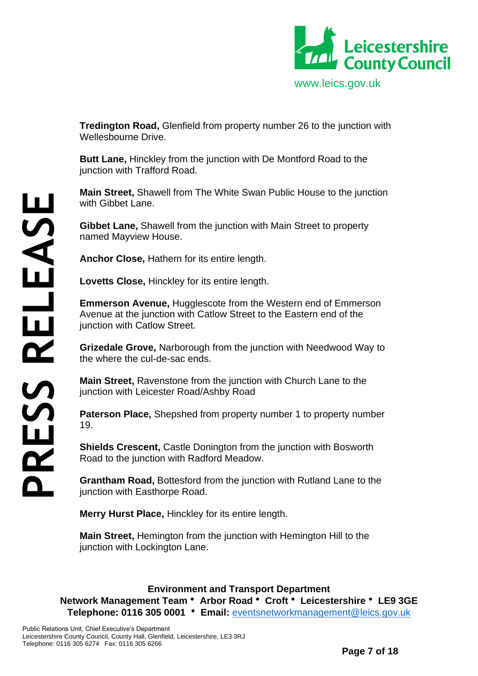

**Tredington Road,** Glenfield from property number 26 to the junction with Wellesbourne Drive.

**Butt Lane,** Hinckley from the junction with De Montford Road to the junction with Trafford Road.

**Main Street,** Shawell from The White Swan Public House to the junction with Gibbet Lane.

**Gibbet Lane,** Shawell from the junction with Main Street to property named Mayview House.

**Anchor Close,** Hathern for its entire length.

**Lovetts Close,** Hinckley for its entire length.

**Emmerson Avenue,** Hugglescote from the Western end of Emmerson Avenue at the junction with Catlow Street to the Eastern end of the junction with Catlow Street.

**Grizedale Grove,** Narborough from the junction with Needwood Way to the where the cul-de-sac ends.

**Main Street,** Ravenstone from the junction with Church Lane to the junction with Leicester Road/Ashby Road

**Paterson Place,** Shepshed from property number 1 to property number 19.

**Shields Crescent, Castle Donington from the junction with Bosworth** Road to the junction with Radford Meadow.

**Grantham Road,** Bottesford from the junction with Rutland Lane to the junction with Easthorpe Road.

**Merry Hurst Place,** Hinckley for its entire length.

**Main Street,** Hemington from the junction with Hemington Hill to the junction with Lockington Lane.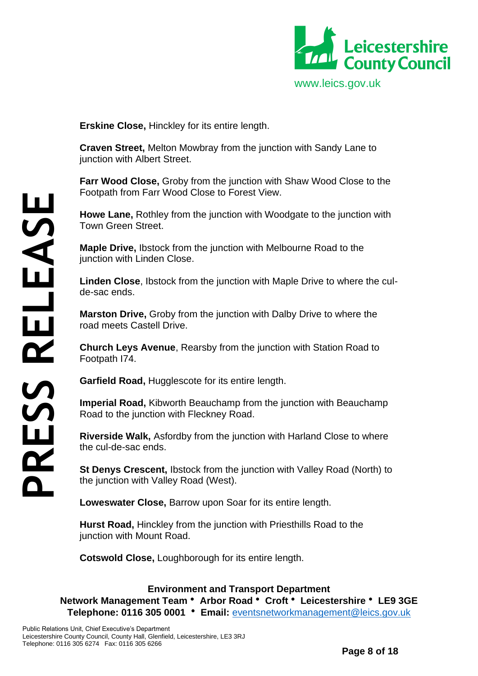

**Erskine Close,** Hinckley for its entire length.

**Craven Street,** Melton Mowbray from the junction with Sandy Lane to junction with Albert Street.

**Farr Wood Close,** Groby from the junction with Shaw Wood Close to the Footpath from Farr Wood Close to Forest View.

**Howe Lane,** Rothley from the junction with Woodgate to the junction with Town Green Street.

**Maple Drive,** Ibstock from the junction with Melbourne Road to the junction with Linden Close.

**Linden Close**, Ibstock from the junction with Maple Drive to where the culde-sac ends.

**Marston Drive,** Groby from the junction with Dalby Drive to where the road meets Castell Drive.

**Church Leys Avenue**, Rearsby from the junction with Station Road to Footpath I74.

**Garfield Road,** Hugglescote for its entire length.

**Imperial Road,** Kibworth Beauchamp from the junction with Beauchamp Road to the junction with Fleckney Road.

**Riverside Walk,** Asfordby from the junction with Harland Close to where the cul-de-sac ends.

**St Denys Crescent,** Ibstock from the junction with Valley Road (North) to the junction with Valley Road (West).

**Loweswater Close,** Barrow upon Soar for its entire length.

**Hurst Road,** Hinckley from the junction with Priesthills Road to the junction with Mount Road.

**Cotswold Close,** Loughborough for its entire length.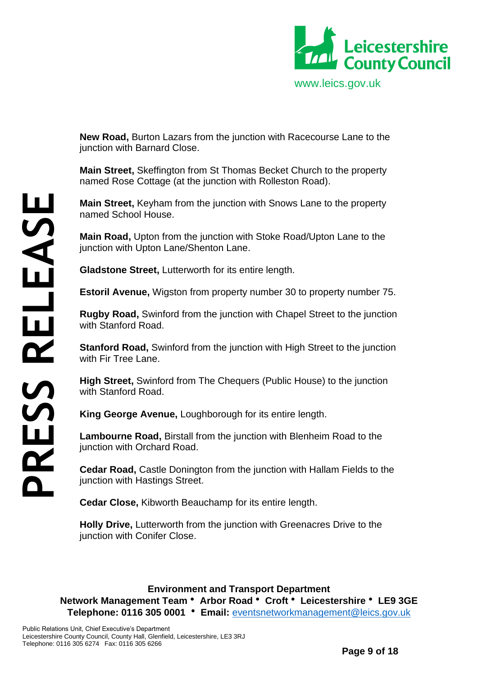

**New Road,** Burton Lazars from the junction with Racecourse Lane to the junction with Barnard Close.

**Main Street,** Skeffington from St Thomas Becket Church to the property named Rose Cottage (at the junction with Rolleston Road).

**Main Street,** Keyham from the junction with Snows Lane to the property named School House.

**Main Road,** Upton from the junction with Stoke Road/Upton Lane to the junction with Upton Lane/Shenton Lane.

**Gladstone Street,** Lutterworth for its entire length.

**Estoril Avenue,** Wigston from property number 30 to property number 75.

**Rugby Road,** Swinford from the junction with Chapel Street to the junction with Stanford Road.

**Stanford Road,** Swinford from the junction with High Street to the junction with Fir Tree Lane.

**High Street,** Swinford from The Chequers (Public House) to the junction with Stanford Road.

**King George Avenue,** Loughborough for its entire length.

**Lambourne Road,** Birstall from the junction with Blenheim Road to the junction with Orchard Road.

**Cedar Road,** Castle Donington from the junction with Hallam Fields to the junction with Hastings Street.

**Cedar Close,** Kibworth Beauchamp for its entire length.

**Holly Drive,** Lutterworth from the junction with Greenacres Drive to the junction with Conifer Close.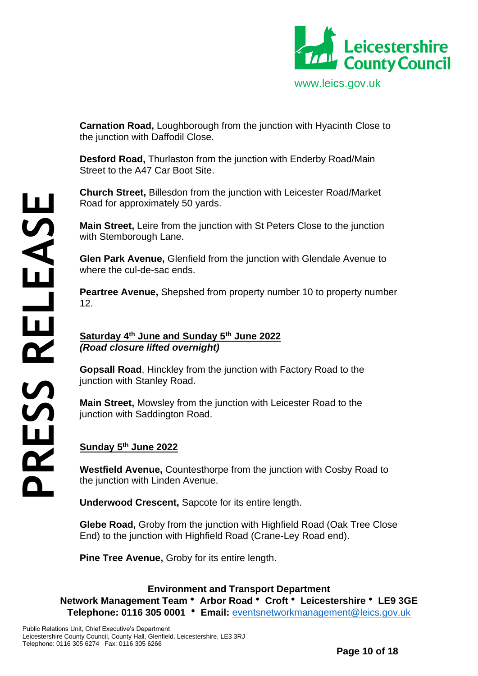

**Carnation Road,** Loughborough from the junction with Hyacinth Close to the junction with Daffodil Close.

**Desford Road,** Thurlaston from the junction with Enderby Road/Main Street to the A47 Car Boot Site.

**Church Street,** Billesdon from the junction with Leicester Road/Market Road for approximately 50 yards.

**Main Street,** Leire from the junction with St Peters Close to the junction with Stemborough Lane.

**Glen Park Avenue,** Glenfield from the junction with Glendale Avenue to where the cul-de-sac ends.

**Peartree Avenue,** Shepshed from property number 10 to property number 12.

**Saturday 4th June and Sunday 5th June 2022** *(Road closure lifted overnight)*

**Gopsall Road**, Hinckley from the junction with Factory Road to the junction with Stanley Road.

**Main Street,** Mowsley from the junction with Leicester Road to the junction with Saddington Road.

## **Sunday 5th June 2022**

Telephone: 0116 305 6274 Fax: 0116 305 6266 **PRESS RELEASE**

**Westfield Avenue,** Countesthorpe from the junction with Cosby Road to the junction with Linden Avenue.

**Underwood Crescent,** Sapcote for its entire length.

**Glebe Road,** Groby from the junction with Highfield Road (Oak Tree Close End) to the junction with Highfield Road (Crane-Ley Road end).

**Pine Tree Avenue,** Groby for its entire length.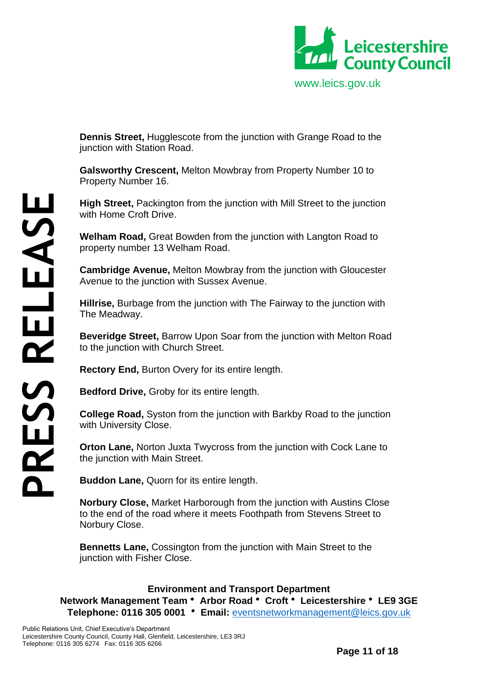

**Dennis Street,** Hugglescote from the junction with Grange Road to the junction with Station Road.

**Galsworthy Crescent,** Melton Mowbray from Property Number 10 to Property Number 16.

**High Street,** Packington from the junction with Mill Street to the junction with Home Croft Drive.

**Welham Road,** Great Bowden from the junction with Langton Road to property number 13 Welham Road.

**Cambridge Avenue,** Melton Mowbray from the junction with Gloucester Avenue to the junction with Sussex Avenue.

**Hillrise,** Burbage from the junction with The Fairway to the junction with The Meadway.

**Beveridge Street,** Barrow Upon Soar from the junction with Melton Road to the junction with Church Street.

**Rectory End,** Burton Overy for its entire length.

**Bedford Drive,** Groby for its entire length.

**College Road,** Syston from the junction with Barkby Road to the junction with University Close.

**Orton Lane,** Norton Juxta Twycross from the junction with Cock Lane to the junction with Main Street.

**Buddon Lane,** Quorn for its entire length.

**Norbury Close,** Market Harborough from the junction with Austins Close to the end of the road where it meets Foothpath from Stevens Street to Norbury Close.

**Bennetts Lane,** Cossington from the junction with Main Street to the iunction with Fisher Close.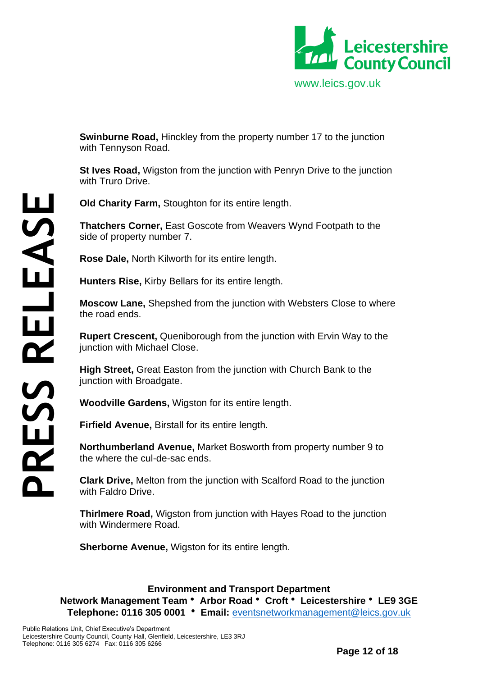

**Swinburne Road,** Hinckley from the property number 17 to the junction with Tennyson Road.

**St Ives Road,** Wigston from the junction with Penryn Drive to the junction with Truro Drive.

**Old Charity Farm,** Stoughton for its entire length.

**Thatchers Corner,** East Goscote from Weavers Wynd Footpath to the side of property number 7.

**Rose Dale,** North Kilworth for its entire length.

**Hunters Rise,** Kirby Bellars for its entire length.

**Moscow Lane,** Shepshed from the junction with Websters Close to where the road ends.

**Rupert Crescent,** Queniborough from the junction with Ervin Way to the junction with Michael Close.

**High Street,** Great Easton from the junction with Church Bank to the junction with Broadgate.

**Woodville Gardens,** Wigston for its entire length.

**Firfield Avenue,** Birstall for its entire length.

**Northumberland Avenue,** Market Bosworth from property number 9 to the where the cul-de-sac ends.

**Clark Drive,** Melton from the junction with Scalford Road to the junction with Faldro Drive.

**Thirlmere Road,** Wigston from junction with Hayes Road to the junction with Windermere Road.

**Sherborne Avenue,** Wigston for its entire length.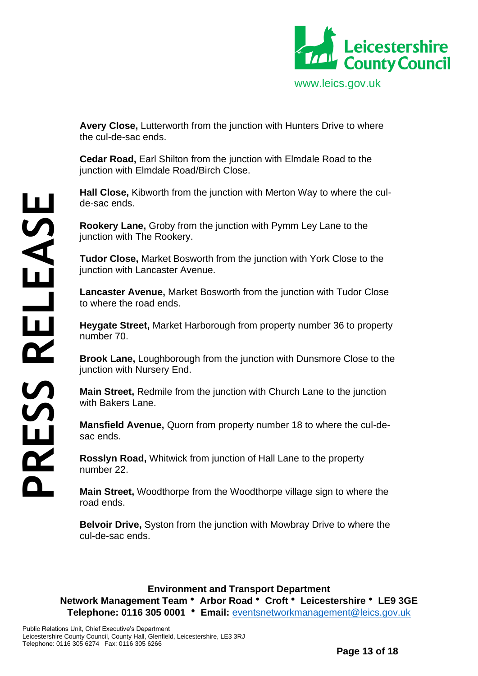

**Avery Close,** Lutterworth from the junction with Hunters Drive to where the cul-de-sac ends.

**Cedar Road,** Earl Shilton from the junction with Elmdale Road to the junction with Elmdale Road/Birch Close.

**Hall Close,** Kibworth from the junction with Merton Way to where the culde-sac ends.

**Rookery Lane,** Groby from the junction with Pymm Ley Lane to the junction with The Rookery.

**Tudor Close,** Market Bosworth from the junction with York Close to the junction with Lancaster Avenue.

**Lancaster Avenue,** Market Bosworth from the junction with Tudor Close to where the road ends.

**Heygate Street,** Market Harborough from property number 36 to property number 70.

**Brook Lane,** Loughborough from the junction with Dunsmore Close to the junction with Nursery End.

**Main Street,** Redmile from the junction with Church Lane to the junction with Bakers Lane.

**Mansfield Avenue,** Quorn from property number 18 to where the cul-desac ends.

**Rosslyn Road,** Whitwick from junction of Hall Lane to the property number 22.

**Main Street,** Woodthorpe from the Woodthorpe village sign to where the road ends.

**Belvoir Drive,** Syston from the junction with Mowbray Drive to where the cul-de-sac ends.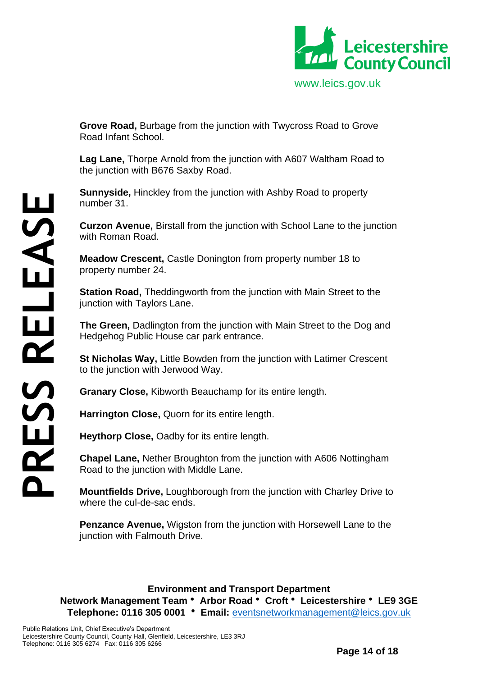

**Grove Road,** Burbage from the junction with Twycross Road to Grove Road Infant School.

**Lag Lane,** Thorpe Arnold from the junction with A607 Waltham Road to the junction with B676 Saxby Road.

**Sunnyside,** Hinckley from the junction with Ashby Road to property number 31.

**Curzon Avenue,** Birstall from the junction with School Lane to the junction with Roman Road.

**Meadow Crescent,** Castle Donington from property number 18 to property number 24.

**Station Road,** Theddingworth from the junction with Main Street to the junction with Taylors Lane.

**The Green,** Dadlington from the junction with Main Street to the Dog and Hedgehog Public House car park entrance.

**St Nicholas Way,** Little Bowden from the junction with Latimer Crescent to the junction with Jerwood Way.

**Granary Close,** Kibworth Beauchamp for its entire length.

**Harrington Close,** Quorn for its entire length.

**Heythorp Close,** Oadby for its entire length.

**Chapel Lane,** Nether Broughton from the junction with A606 Nottingham Road to the junction with Middle Lane.

**Mountfields Drive,** Loughborough from the junction with Charley Drive to where the cul-de-sac ends.

**Penzance Avenue,** Wigston from the junction with Horsewell Lane to the junction with Falmouth Drive.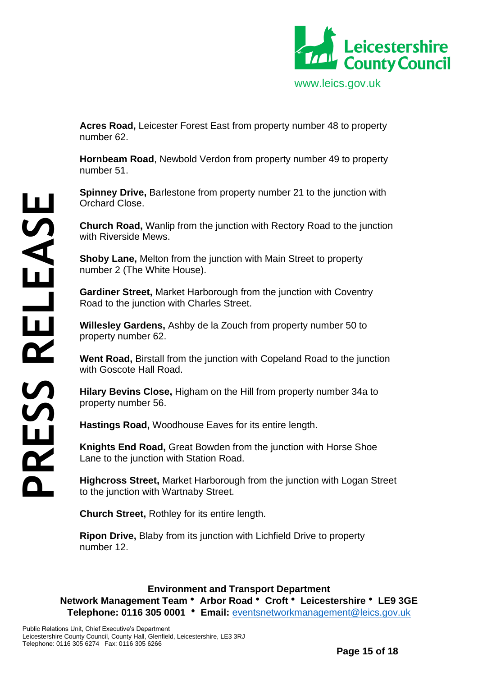

**Acres Road,** Leicester Forest East from property number 48 to property number 62.

**Hornbeam Road**, Newbold Verdon from property number 49 to property number 51.

**Spinney Drive, Barlestone from property number 21 to the junction with** Orchard Close.

**Church Road,** Wanlip from the junction with Rectory Road to the junction with Riverside Mews.

**Shoby Lane,** Melton from the junction with Main Street to property number 2 (The White House).

**Gardiner Street,** Market Harborough from the junction with Coventry Road to the junction with Charles Street.

**Willesley Gardens,** Ashby de la Zouch from property number 50 to property number 62.

**Went Road,** Birstall from the junction with Copeland Road to the junction with Goscote Hall Road.

**Hilary Bevins Close,** Higham on the Hill from property number 34a to property number 56.

**Hastings Road,** Woodhouse Eaves for its entire length.

**Knights End Road,** Great Bowden from the junction with Horse Shoe Lane to the junction with Station Road.

**Highcross Street,** Market Harborough from the junction with Logan Street to the junction with Wartnaby Street.

**Church Street,** Rothley for its entire length.

**Ripon Drive,** Blaby from its junction with Lichfield Drive to property number 12.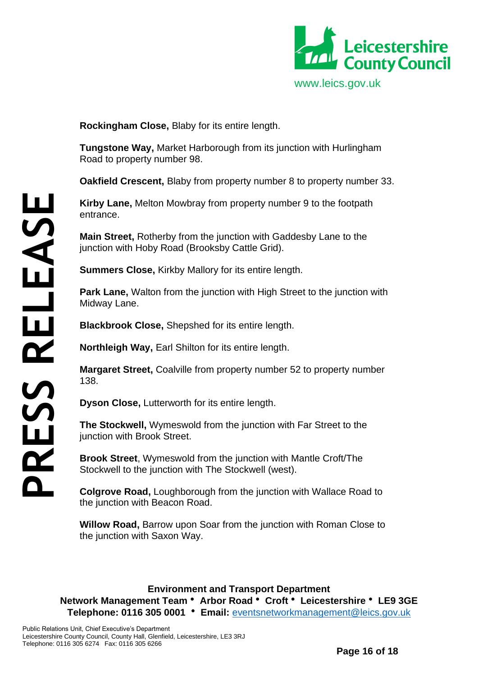

**Rockingham Close,** Blaby for its entire length.

**Tungstone Way,** Market Harborough from its junction with Hurlingham Road to property number 98.

**Oakfield Crescent,** Blaby from property number 8 to property number 33.

**Kirby Lane,** Melton Mowbray from property number 9 to the footpath entrance.

**Main Street,** Rotherby from the junction with Gaddesby Lane to the junction with Hoby Road (Brooksby Cattle Grid).

**Summers Close,** Kirkby Mallory for its entire length.

**Park Lane,** Walton from the junction with High Street to the junction with Midway Lane.

**Blackbrook Close,** Shepshed for its entire length.

**Northleigh Way,** Earl Shilton for its entire length.

**Margaret Street,** Coalville from property number 52 to property number 138.

**Dyson Close,** Lutterworth for its entire length.

**The Stockwell,** Wymeswold from the junction with Far Street to the junction with Brook Street.

**Brook Street**, Wymeswold from the junction with Mantle Croft/The Stockwell to the junction with The Stockwell (west).

**Colgrove Road,** Loughborough from the junction with Wallace Road to the junction with Beacon Road.

**Willow Road,** Barrow upon Soar from the junction with Roman Close to the junction with Saxon Way.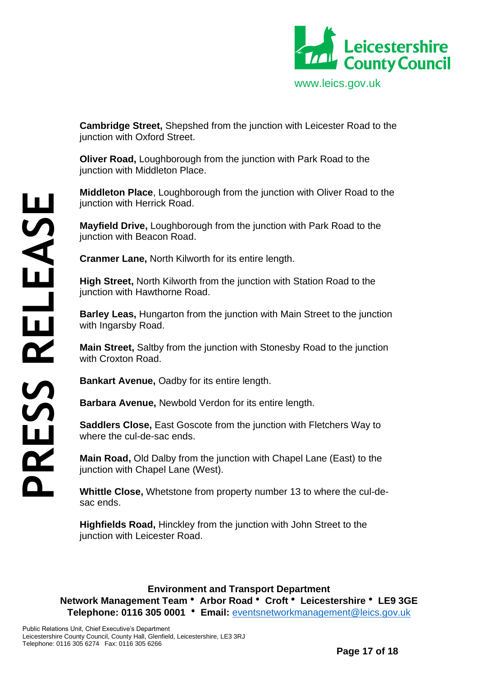

**Cambridge Street,** Shepshed from the junction with Leicester Road to the junction with Oxford Street.

**Oliver Road,** Loughborough from the junction with Park Road to the junction with Middleton Place.

**Middleton Place**, Loughborough from the junction with Oliver Road to the junction with Herrick Road.

**Mayfield Drive,** Loughborough from the junction with Park Road to the junction with Beacon Road.

**Cranmer Lane,** North Kilworth for its entire length.

**High Street,** North Kilworth from the junction with Station Road to the junction with Hawthorne Road.

**Barley Leas,** Hungarton from the junction with Main Street to the junction with Ingarsby Road.

**Main Street,** Saltby from the junction with Stonesby Road to the junction with Croxton Road.

**Bankart Avenue,** Oadby for its entire length.

**Barbara Avenue,** Newbold Verdon for its entire length.

**Saddlers Close,** East Goscote from the junction with Fletchers Way to where the cul-de-sac ends.

**Main Road,** Old Dalby from the junction with Chapel Lane (East) to the junction with Chapel Lane (West).

**Whittle Close,** Whetstone from property number 13 to where the cul-desac ends.

**Highfields Road,** Hinckley from the junction with John Street to the junction with Leicester Road.